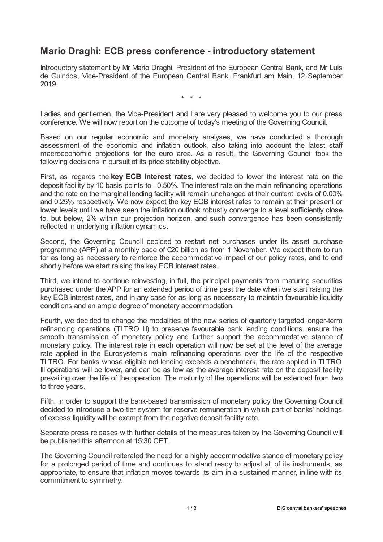## **Mario Draghi: ECB press conference - introductory statement**

Introductory statement by Mr Mario Draghi, President of the European Central Bank, and Mr Luis de Guindos, Vice-President of the European Central Bank, Frankfurt am Main, 12 September 2019.

\* \* \*

Ladies and gentlemen, the Vice-President and I are very pleased to welcome you to our press conference. We will now report on the outcome of today's meeting of the Governing Council.

Based on our regular economic and monetary analyses, we have conducted a thorough assessment of the economic and inflation outlook, also taking into account the latest staff macroeconomic projections for the euro area. As a result, the Governing Council took the following decisions in pursuit of its price stability objective.

First, as regards the **key ECB interest rates**, we decided to lower the interest rate on the deposit facility by 10 basis points to –0.50%. The interest rate on the main refinancing operations and the rate on the marginal lending facility will remain unchanged at their current levels of 0.00% and 0.25% respectively. We now expect the key ECB interest rates to remain at their present or lower levels until we have seen the inflation outlook robustly converge to a level sufficiently close to, but below, 2% within our projection horizon, and such convergence has been consistently reflected in underlying inflation dynamics.

Second, the Governing Council decided to restart net purchases under its asset purchase programme (APP) at a monthly pace of €20 billion as from 1 November. We expect them to run for as long as necessary to reinforce the accommodative impact of our policy rates, and to end shortly before we start raising the key ECB interest rates.

Third, we intend to continue reinvesting, in full, the principal payments from maturing securities purchased under the APP for an extended period of time past the date when we start raising the key ECB interest rates, and in any case for as long as necessary to maintain favourable liquidity conditions and an ample degree of monetary accommodation.

Fourth, we decided to change the modalities of the new series of quarterly targeted longer-term refinancing operations (TLTRO III) to preserve favourable bank lending conditions, ensure the smooth transmission of monetary policy and further support the accommodative stance of monetary policy. The interest rate in each operation will now be set at the level of the average rate applied in the Eurosystem's main refinancing operations over the life of the respective TLTRO. For banks whose eligible net lending exceeds a benchmark, the rate applied in TLTRO III operations will be lower, and can be as low as the average interest rate on the deposit facility prevailing over the life of the operation. The maturity of the operations will be extended from two to three years.

Fifth, in order to support the bank-based transmission of monetary policy the Governing Council decided to introduce a two-tier system for reserve remuneration in which part of banks' holdings of excess liquidity will be exempt from the negative deposit facility rate.

Separate press releases with further details of the measures taken by the Governing Council will be published this afternoon at 15:30 CET.

The Governing Council reiterated the need for a highly accommodative stance of monetary policy for a prolonged period of time and continues to stand ready to adjust all of its instruments, as appropriate, to ensure that inflation moves towards its aim in a sustained manner, in line with its commitment to symmetry.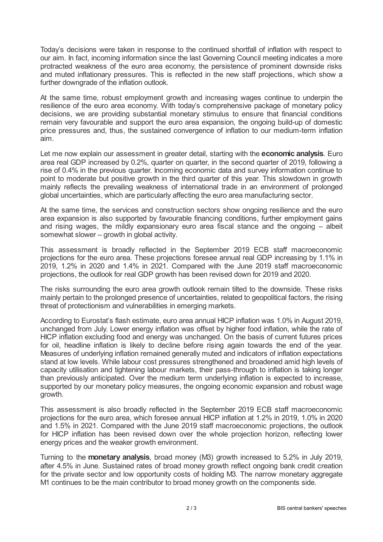Today's decisions were taken in response to the continued shortfall of inflation with respect to our aim. In fact, incoming information since the last Governing Council meeting indicates a more protracted weakness of the euro area economy, the persistence of prominent downside risks and muted inflationary pressures. This is reflected in the new staff projections, which show a further downgrade of the inflation outlook.

At the same time, robust employment growth and increasing wages continue to underpin the resilience of the euro area economy. With today's comprehensive package of monetary policy decisions, we are providing substantial monetary stimulus to ensure that financial conditions remain very favourable and support the euro area expansion, the ongoing build-up of domestic price pressures and, thus, the sustained convergence of inflation to our medium-term inflation aim.

Let me now explain our assessment in greater detail, starting with the **economic analysis**. Euro area real GDP increased by 0.2%, quarter on quarter, in the second quarter of 2019, following a rise of 0.4% in the previous quarter. Incoming economic data and survey information continue to point to moderate but positive growth in the third quarter of this year. This slowdown in growth mainly reflects the prevailing weakness of international trade in an environment of prolonged global uncertainties, which are particularly affecting the euro area manufacturing sector.

At the same time, the services and construction sectors show ongoing resilience and the euro area expansion is also supported by favourable financing conditions, further employment gains and rising wages, the mildly expansionary euro area fiscal stance and the ongoing – albeit somewhat slower – growth in global activity.

This assessment is broadly reflected in the September 2019 ECB staff macroeconomic projections for the euro area. These projections foresee annual real GDP increasing by 1.1% in 2019, 1.2% in 2020 and 1.4% in 2021. Compared with the June 2019 staff macroeconomic projections, the outlook for real GDP growth has been revised down for 2019 and 2020.

The risks surrounding the euro area growth outlook remain tilted to the downside. These risks mainly pertain to the prolonged presence of uncertainties, related to geopolitical factors, the rising threat of protectionism and vulnerabilities in emerging markets.

According to Eurostat's flash estimate, euro area annual HICP inflation was 1.0% in August 2019, unchanged from July. Lower energy inflation was offset by higher food inflation, while the rate of HICP inflation excluding food and energy was unchanged. On the basis of current futures prices for oil, headline inflation is likely to decline before rising again towards the end of the year. Measures of underlying inflation remained generally muted and indicators of inflation expectations stand at low levels. While labour cost pressures strengthened and broadened amid high levels of capacity utilisation and tightening labour markets, their pass-through to inflation is taking longer than previously anticipated. Over the medium term underlying inflation is expected to increase, supported by our monetary policy measures, the ongoing economic expansion and robust wage growth.

This assessment is also broadly reflected in the September 2019 ECB staff macroeconomic projections for the euro area, which foresee annual HICP inflation at 1.2% in 2019, 1.0% in 2020 and 1.5% in 2021. Compared with the June 2019 staff macroeconomic projections, the outlook for HICP inflation has been revised down over the whole projection horizon, reflecting lower energy prices and the weaker growth environment.

Turning to the **monetary analysis**, broad money (M3) growth increased to 5.2% in July 2019, after 4.5% in June. Sustained rates of broad money growth reflect ongoing bank credit creation for the private sector and low opportunity costs of holding M3. The narrow monetary aggregate M1 continues to be the main contributor to broad money growth on the components side.